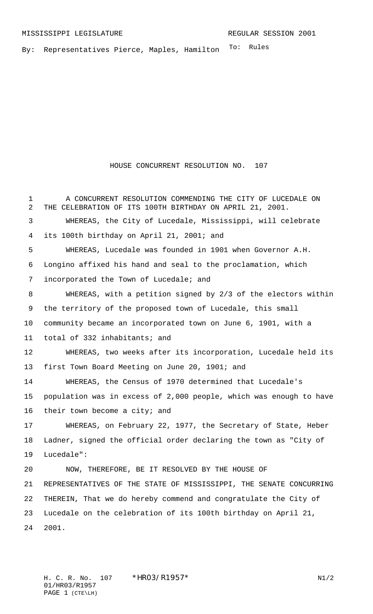By: Representatives Pierce, Maples, Hamilton <sup>To: Rules</sup>

## HOUSE CONCURRENT RESOLUTION NO. 107

 A CONCURRENT RESOLUTION COMMENDING THE CITY OF LUCEDALE ON THE CELEBRATION OF ITS 100TH BIRTHDAY ON APRIL 21, 2001. WHEREAS, the City of Lucedale, Mississippi, will celebrate its 100th birthday on April 21, 2001; and WHEREAS, Lucedale was founded in 1901 when Governor A.H. Longino affixed his hand and seal to the proclamation, which incorporated the Town of Lucedale; and WHEREAS, with a petition signed by 2/3 of the electors within the territory of the proposed town of Lucedale, this small community became an incorporated town on June 6, 1901, with a total of 332 inhabitants; and WHEREAS, two weeks after its incorporation, Lucedale held its first Town Board Meeting on June 20, 1901; and WHEREAS, the Census of 1970 determined that Lucedale's population was in excess of 2,000 people, which was enough to have 16 their town become a city; and WHEREAS, on February 22, 1977, the Secretary of State, Heber Ladner, signed the official order declaring the town as "City of Lucedale": NOW, THEREFORE, BE IT RESOLVED BY THE HOUSE OF REPRESENTATIVES OF THE STATE OF MISSISSIPPI, THE SENATE CONCURRING THEREIN, That we do hereby commend and congratulate the City of Lucedale on the celebration of its 100th birthday on April 21, 2001.